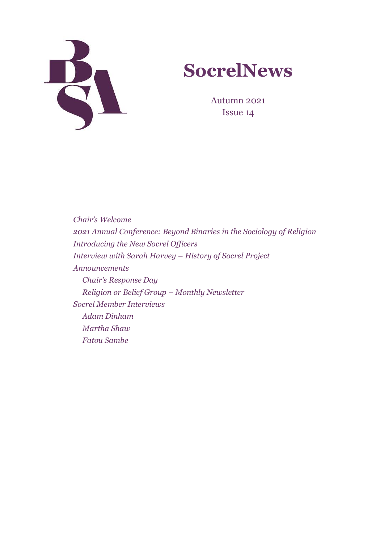



Autumn 2021 Issue 14

*Chair's Welcome 2021 Annual Conference: Beyond Binaries in the Sociology of Religion Introducing the New Socrel Officers Interview with Sarah Harvey – History of Socrel Project Announcements Chair's Response Day Religion or Belief Group – Monthly Newsletter Socrel Member Interviews Adam Dinham Martha Shaw Fatou Sambe*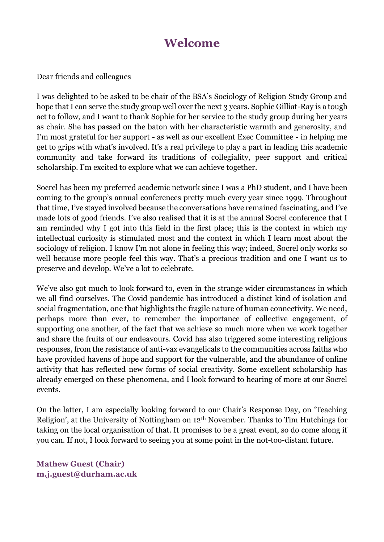# **Welcome**

Dear friends and colleagues

I was delighted to be asked to be chair of the BSA's Sociology of Religion Study Group and hope that I can serve the study group well over the next 3 years. Sophie Gilliat-Ray is a tough act to follow, and I want to thank Sophie for her service to the study group during her years as chair. She has passed on the baton with her characteristic warmth and generosity, and I'm most grateful for her support - as well as our excellent Exec Committee - in helping me get to grips with what's involved. It's a real privilege to play a part in leading this academic community and take forward its traditions of collegiality, peer support and critical scholarship. I'm excited to explore what we can achieve together.

Socrel has been my preferred academic network since I was a PhD student, and I have been coming to the group's annual conferences pretty much every year since 1999. Throughout that time, I've stayed involved because the conversations have remained fascinating, and I've made lots of good friends. I've also realised that it is at the annual Socrel conference that I am reminded why I got into this field in the first place; this is the context in which my intellectual curiosity is stimulated most and the context in which I learn most about the sociology of religion. I know I'm not alone in feeling this way; indeed, Socrel only works so well because more people feel this way. That's a precious tradition and one I want us to preserve and develop. We've a lot to celebrate.

We've also got much to look forward to, even in the strange wider circumstances in which we all find ourselves. The Covid pandemic has introduced a distinct kind of isolation and social fragmentation, one that highlights the fragile nature of human connectivity. We need, perhaps more than ever, to remember the importance of collective engagement, of supporting one another, of the fact that we achieve so much more when we work together and share the fruits of our endeavours. Covid has also triggered some interesting religious responses, from the resistance of anti-vax evangelicals to the communities across faiths who have provided havens of hope and support for the vulnerable, and the abundance of online activity that has reflected new forms of social creativity. Some excellent scholarship has already emerged on these phenomena, and I look forward to hearing of more at our Socrel events.

On the latter, I am especially looking forward to our Chair's Response Day, on 'Teaching Religion', at the University of Nottingham on 12th November. Thanks to Tim Hutchings for taking on the local organisation of that. It promises to be a great event, so do come along if you can. If not, I look forward to seeing you at some point in the not-too-distant future.

**Mathew Guest (Chair) [m.j.guest@durham.ac.uk](mailto:m.j.guest@durham.ac.uk)**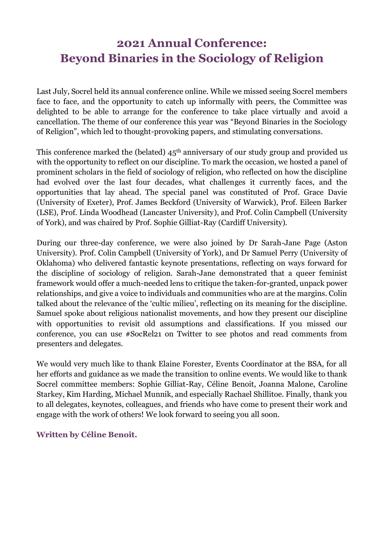# **2021 Annual Conference: Beyond Binaries in the Sociology of Religion**

Last July, Socrel held its annual conference online. While we missed seeing Socrel members face to face, and the opportunity to catch up informally with peers, the Committee was delighted to be able to arrange for the conference to take place virtually and avoid a cancellation. The theme of our conference this year was "Beyond Binaries in the Sociology of Religion", which led to thought-provoking papers, and stimulating conversations.

This conference marked the (belated)  $45<sup>th</sup>$  anniversary of our study group and provided us with the opportunity to reflect on our discipline. To mark the occasion, we hosted a panel of prominent scholars in the field of sociology of religion, who reflected on how the discipline had evolved over the last four decades, what challenges it currently faces, and the opportunities that lay ahead. The special panel was constituted of Prof. Grace Davie (University of Exeter), Prof. James Beckford (University of Warwick), Prof. Eileen Barker (LSE), Prof. Linda Woodhead (Lancaster University), and Prof. Colin Campbell (University of York), and was chaired by Prof. Sophie Gilliat-Ray (Cardiff University).

During our three-day conference, we were also joined by Dr Sarah-Jane Page (Aston University). Prof. Colin Campbell (University of York), and Dr Samuel Perry (University of Oklahoma) who delivered fantastic keynote presentations, reflecting on ways forward for the discipline of sociology of religion. Sarah-Jane demonstrated that a queer feminist framework would offer a much-needed lens to critique the taken-for-granted, unpack power relationships, and give a voice to individuals and communities who are at the margins. Colin talked about the relevance of the 'cultic milieu', reflecting on its meaning for the discipline. Samuel spoke about religious nationalist movements, and how they present our discipline with opportunities to revisit old assumptions and classifications. If you missed our conference, you can use #SocRel21 on Twitter to see photos and read comments from presenters and delegates.

We would very much like to thank Elaine Forester, Events Coordinator at the BSA, for all her efforts and guidance as we made the transition to online events. We would like to thank Socrel committee members: Sophie Gilliat-Ray, Céline Benoit, Joanna Malone, Caroline Starkey, Kim Harding, Michael Munnik, and especially Rachael Shillitoe. Finally, thank you to all delegates, keynotes, colleagues, and friends who have come to present their work and engage with the work of others! We look forward to seeing you all soon.

#### **Written by Céline Benoit.**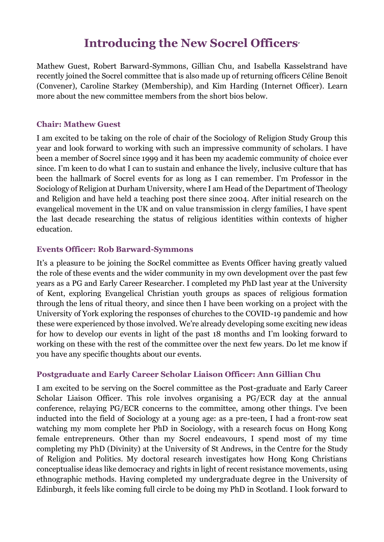# **Introducing the New Socrel Officers**'

Mathew Guest, Robert Barward-Symmons, Gillian Chu, and Isabella Kasselstrand have recently joined the Socrel committee that is also made up of returning officers Céline Benoit (Convener), Caroline Starkey (Membership), and Kim Harding (Internet Officer). Learn more about the new committee members from the short bios below.

#### **Chair: Mathew Guest**

I am excited to be taking on the role of chair of the Sociology of Religion Study Group this year and look forward to working with such an impressive community of scholars. I have been a member of Socrel since 1999 and it has been my academic community of choice ever since. I'm keen to do what I can to sustain and enhance the lively, inclusive culture that has been the hallmark of Socrel events for as long as I can remember. I'm Professor in the Sociology of Religion at Durham University, where I am Head of the Department of Theology and Religion and have held a teaching post there since 2004. After initial research on the evangelical movement in the UK and on value transmission in clergy families, I have spent the last decade researching the status of religious identities within contexts of higher education.

#### **Events Officer: Rob Barward-Symmons**

It's a pleasure to be joining the SocRel committee as Events Officer having greatly valued the role of these events and the wider community in my own development over the past few years as a PG and Early Career Researcher. I completed my PhD last year at the University of Kent, exploring Evangelical Christian youth groups as spaces of religious formation through the lens of ritual theory, and since then I have been working on a project with the University of York exploring the responses of churches to the COVID-19 pandemic and how these were experienced by those involved. We're already developing some exciting new ideas for how to develop our events in light of the past 18 months and I'm looking forward to working on these with the rest of the committee over the next few years. Do let me know if you have any specific thoughts about our events.

#### **Postgraduate and Early Career Scholar Liaison Officer: Ann Gillian Chu**

I am excited to be serving on the Socrel committee as the Post-graduate and Early Career Scholar Liaison Officer. This role involves organising a PG/ECR day at the annual conference, relaying PG/ECR concerns to the committee, among other things. I've been inducted into the field of Sociology at a young age: as a pre-teen, I had a front-row seat watching my mom complete her PhD in Sociology, with a research focus on Hong Kong female entrepreneurs. Other than my Socrel endeavours, I spend most of my time completing my PhD (Divinity) at the University of St Andrews, in the Centre for the Study of Religion and Politics. My doctoral research investigates how Hong Kong Christians conceptualise ideas like democracy and rights in light of recent resistance movements, using ethnographic methods. Having completed my undergraduate degree in the University of Edinburgh, it feels like coming full circle to be doing my PhD in Scotland. I look forward to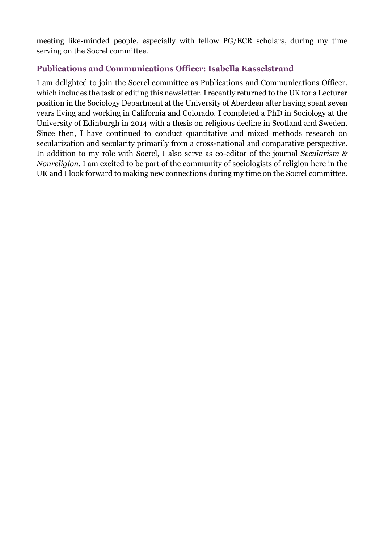meeting like-minded people, especially with fellow PG/ECR scholars, during my time serving on the Socrel committee.

#### **Publications and Communications Officer: Isabella Kasselstrand**

I am delighted to join the Socrel committee as Publications and Communications Officer, which includes the task of editing this newsletter. I recently returned to the UK for a Lecturer position in the Sociology Department at the University of Aberdeen after having spent seven years living and working in California and Colorado. I completed a PhD in Sociology at the University of Edinburgh in 2014 with a thesis on religious decline in Scotland and Sweden. Since then, I have continued to conduct quantitative and mixed methods research on secularization and secularity primarily from a cross-national and comparative perspective. In addition to my role with Socrel, I also serve as co-editor of the journal *Secularism & Nonreligion.* I am excited to be part of the community of sociologists of religion here in the UK and I look forward to making new connections during my time on the Socrel committee.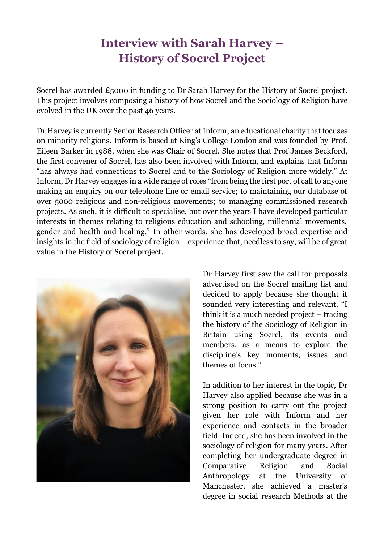# **Interview with Sarah Harvey – History of Socrel Project**

Socrel has awarded £5000 in funding to Dr Sarah Harvey for the History of Socrel project. This project involves composing a history of how Socrel and the Sociology of Religion have evolved in the UK over the past 46 years.

Dr Harvey is currently Senior Research Officer at Inform, an educational charity that focuses on minority religions. Inform is based at King's College London and was founded by Prof. Eileen Barker in 1988, when she was Chair of Socrel. She notes that Prof James Beckford, the first convener of Socrel, has also been involved with Inform, and explains that Inform "has always had connections to Socrel and to the Sociology of Religion more widely." At Inform, Dr Harvey engages in a wide range of roles "from being the first port of call to anyone making an enquiry on our telephone line or email service; to maintaining our database of over 5000 religious and non-religious movements; to managing commissioned research projects. As such, it is difficult to specialise, but over the years I have developed particular interests in themes relating to religious education and schooling, millennial movements, gender and health and healing." In other words, she has developed broad expertise and insights in the field of sociology of religion – experience that, needless to say, will be of great value in the History of Socrel project.



Dr Harvey first saw the call for proposals advertised on the Socrel mailing list and decided to apply because she thought it sounded very interesting and relevant. "I think it is a much needed project – tracing the history of the Sociology of Religion in Britain using Socrel, its events and members, as a means to explore the discipline's key moments, issues and themes of focus."

In addition to her interest in the topic, Dr Harvey also applied because she was in a strong position to carry out the project given her role with Inform and her experience and contacts in the broader field. Indeed, she has been involved in the sociology of religion for many years. After completing her undergraduate degree in Comparative Religion and Social Anthropology at the University of Manchester, she achieved a master's degree in social research Methods at the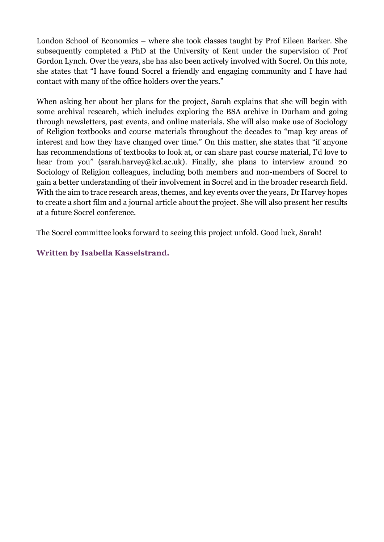London School of Economics – where she took classes taught by Prof Eileen Barker. She subsequently completed a PhD at the University of Kent under the supervision of Prof Gordon Lynch. Over the years, she has also been actively involved with Socrel. On this note, she states that "I have found Socrel a friendly and engaging community and I have had contact with many of the office holders over the years."

When asking her about her plans for the project, Sarah explains that she will begin with some archival research, which includes exploring the BSA archive in Durham and going through newsletters, past events, and online materials. She will also make use of Sociology of Religion textbooks and course materials throughout the decades to "map key areas of interest and how they have changed over time." On this matter, she states that "if anyone has recommendations of textbooks to look at, or can share past course material, I'd love to hear from you" [\(sarah.harvey@kcl.ac.uk\).](mailto:sarah.harvey@kcl.ac.uk)) Finally, she plans to interview around 20 Sociology of Religion colleagues, including both members and non-members of Socrel to gain a better understanding of their involvement in Socrel and in the broader research field. With the aim to trace research areas, themes, and key events over the years, Dr Harvey hopes to create a short film and a journal article about the project. She will also present her results at a future Socrel conference.

The Socrel committee looks forward to seeing this project unfold. Good luck, Sarah!

**Written by Isabella Kasselstrand.**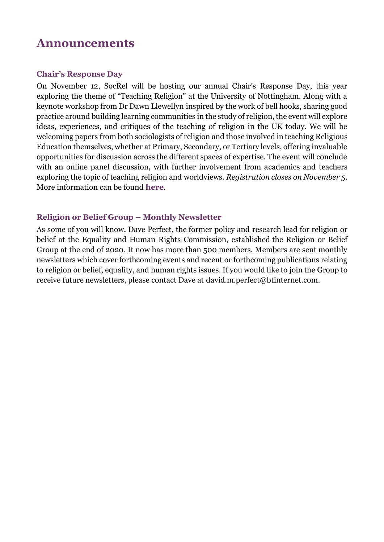### **Announcements**

#### **Chair's Response Day**

On November 12, SocRel will be hosting our annual Chair's Response Day, this year exploring the theme of "Teaching Religion" at the University of Nottingham. Along with a keynote workshop from Dr Dawn Llewellyn inspired by the work of bell hooks, sharing good practice around building learning communities in the study of religion, the event will explore ideas, experiences, and critiques of the teaching of religion in the UK today. We will be welcoming papers from both sociologists of religion and those involved in teaching Religious Education themselves, whether at Primary, Secondary, or Tertiary levels, offering invaluable opportunities for discussion across the different spaces of expertise. The event will conclude with an online panel discussion, with further involvement from academics and teachers exploring the topic of teaching religion and worldviews. *Registration closes on November 5*. More information can be found **[here](https://eur03.safelinks.protection.outlook.com/?url=https%3A%2F%2Fwww.britsoc.co.uk%2Fevents%2Fkey-bsa-events%2Fbsa-socrel-study-group-response-day-november-2021%2F&data=04%7C01%7Cisabella.kasselstrand%40abdn.ac.uk%7Caefa9e77c8824c5d78a308d98744ee1d%7C8c2b19ad5f9c49d490773ec3cfc52b3f%7C0%7C0%7C637689552388585721%7CUnknown%7CTWFpbGZsb3d8eyJWIjoiMC4wLjAwMDAiLCJQIjoiV2luMzIiLCJBTiI6Ik1haWwiLCJXVCI6Mn0%3D%7C1000&sdata=g%2BDjuGMcrPArZsoRsuzYpdDwQxBEBLOlLIGIllZ7jYA%3D&reserved=0)**.

#### **Religion or Belief Group – Monthly Newsletter**

As some of you will know, Dave Perfect, the former policy and research lead for religion or belief at the Equality and Human Rights Commission, established the Religion or Belief Group at the end of 2020. It now has more than 500 members. Members are sent monthly newsletters which cover forthcoming events and recent or forthcoming publications relating to religion or belief, equality, and human rights issues. If you would like to join the Group to receive future newsletters, please contact Dave at [david.m.perfect@btinternet.com.](mailto:david.m.perfect@btinternet.com)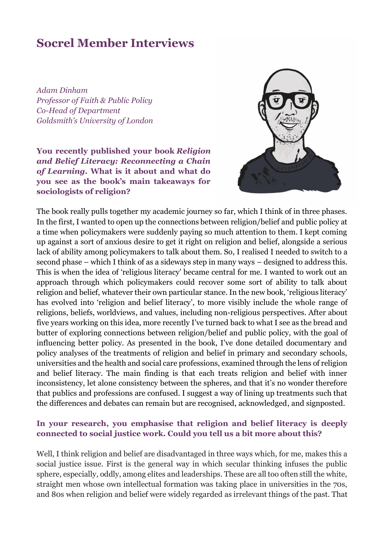### **Socrel Member Interviews**

*Adam Dinham Professor of Faith & Public Policy Co-Head of Department Goldsmith's University of London*

**You recently published your book** *Religion and Belief Literacy: Reconnecting a Chain of Learning***. What is it about and what do you see as the book's main takeaways for sociologists of religion?** 



The book really pulls together my academic journey so far, which I think of in three phases. In the first, I wanted to open up the connections between religion/belief and public policy at a time when policymakers were suddenly paying so much attention to them. I kept coming up against a sort of anxious desire to get it right on religion and belief, alongside a serious lack of ability among policymakers to talk about them. So, I realised I needed to switch to a second phase – which I think of as a sideways step in many ways – designed to address this. This is when the idea of 'religious literacy' became central for me. I wanted to work out an approach through which policymakers could recover some sort of ability to talk about religion and belief, whatever their own particular stance. In the new book, 'religious literacy' has evolved into 'religion and belief literacy', to more visibly include the whole range of religions, beliefs, worldviews, and values, including non-religious perspectives. After about five years working on this idea, more recently I've turned back to what I see as the bread and butter of exploring connections between religion/belief and public policy, with the goal of influencing better policy. As presented in the book, I've done detailed documentary and policy analyses of the treatments of religion and belief in primary and secondary schools, universities and the health and social care professions, examined through the lens of religion and belief literacy. The main finding is that each treats religion and belief with inner inconsistency, let alone consistency between the spheres, and that it's no wonder therefore that publics and professions are confused. I suggest a way of lining up treatments such that the differences and debates can remain but are recognised, acknowledged, and signposted.

#### **In your research, you emphasise that religion and belief literacy is deeply connected to social justice work. Could you tell us a bit more about this?**

Well, I think religion and belief are disadvantaged in three ways which, for me, makes this a social justice issue. First is the general way in which secular thinking infuses the public sphere, especially, oddly, among elites and leaderships. These are all too often still the white, straight men whose own intellectual formation was taking place in universities in the 70s, and 80s when religion and belief were widely regarded as irrelevant things of the past. That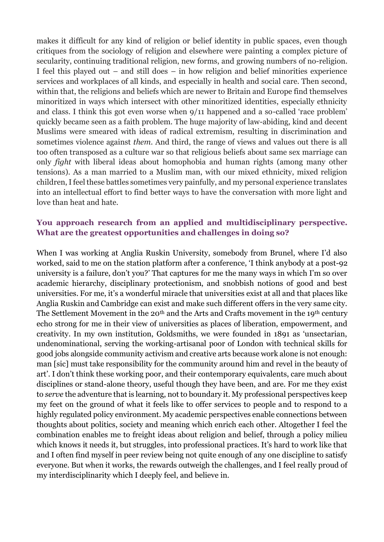makes it difficult for any kind of religion or belief identity in public spaces, even though critiques from the sociology of religion and elsewhere were painting a complex picture of secularity, continuing traditional religion, new forms, and growing numbers of no-religion. I feel this played out – and still does – in how religion and belief minorities experience services and workplaces of all kinds, and especially in health and social care. Then second, within that, the religions and beliefs which are newer to Britain and Europe find themselves minoritized in ways which intersect with other minoritized identities, especially ethnicity and class. I think this got even worse when 9/11 happened and a so-called 'race problem' quickly became seen as a faith problem. The huge majority of law-abiding, kind and decent Muslims were smeared with ideas of radical extremism, resulting in discrimination and sometimes violence against *them*. And third, the range of views and values out there is all too often transposed as a culture war so that religious beliefs about same sex marriage can only *fight* with liberal ideas about homophobia and human rights (among many other tensions). As a man married to a Muslim man, with our mixed ethnicity, mixed religion children, I feel these battles sometimes very painfully, and my personal experience translates into an intellectual effort to find better ways to have the conversation with more light and love than heat and hate.

#### **You approach research from an applied and multidisciplinary perspective. What are the greatest opportunities and challenges in doing so?**

When I was working at Anglia Ruskin University, somebody from Brunel, where I'd also worked, said to me on the station platform after a conference, 'I think anybody at a post-92 university is a failure, don't you?' That captures for me the many ways in which I'm so over academic hierarchy, disciplinary protectionism, and snobbish notions of good and best universities. For me, it's a wonderful miracle that universities exist at all and that places like Anglia Ruskin and Cambridge can exist and make such different offers in the very same city. The Settlement Movement in the 20<sup>th</sup> and the Arts and Crafts movement in the 19<sup>th</sup> century echo strong for me in their view of universities as places of liberation, empowerment, and creativity. In my own institution, Goldsmiths, we were founded in 1891 as 'unsectarian, undenominational, serving the working-artisanal poor of London with technical skills for good jobs alongside community activism and creative arts because work alone is not enough: man [sic] must take responsibility for the community around him and revel in the beauty of art'. I don't think these working poor, and their contemporary equivalents, care much about disciplines or stand-alone theory, useful though they have been, and are. For me they exist to *serve* the adventure that is learning, not to boundary it. My professional perspectives keep my feet on the ground of what it feels like to offer services to people and to respond to a highly regulated policy environment. My academic perspectives enable connections between thoughts about politics, society and meaning which enrich each other. Altogether I feel the combination enables me to freight ideas about religion and belief, through a policy milieu which knows it needs it, but struggles, into professional practices. It's hard to work like that and I often find myself in peer review being not quite enough of any one discipline to satisfy everyone. But when it works, the rewards outweigh the challenges, and I feel really proud of my interdisciplinarity which I deeply feel, and believe in.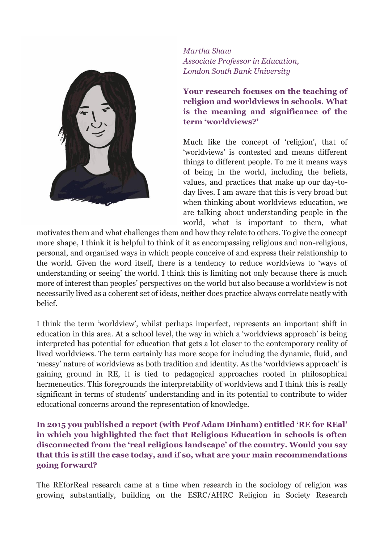

*Martha Shaw Associate Professor in Education, London South Bank University*

**Your research focuses on the teaching of religion and worldviews in schools. What is the meaning and significance of the term 'worldviews?'**

Much like the concept of 'religion', that of 'worldviews' is contested and means different things to different people. To me it means ways of being in the world, including the beliefs, values, and practices that make up our day-today lives. I am aware that this is very broad but when thinking about worldviews education, we are talking about understanding people in the world, what is important to them, what

motivates them and what challenges them and how they relate to others. To give the concept more shape, I think it is helpful to think of it as encompassing religious and non-religious, personal, and organised ways in which people conceive of and express their relationship to the world. Given the word itself, there is a tendency to reduce worldviews to 'ways of understanding or seeing' the world. I think this is limiting not only because there is much more of interest than peoples' perspectives on the world but also because a worldview is not necessarily lived as a coherent set of ideas, neither does practice always correlate neatly with belief.

I think the term 'worldview', whilst perhaps imperfect, represents an important shift in education in this area. At a school level, the way in which a 'worldviews approach' is being interpreted has potential for education that gets a lot closer to the contemporary reality of lived worldviews. The term certainly has more scope for including the dynamic, fluid, and 'messy' nature of worldviews as both tradition and identity. As the 'worldviews approach' is gaining ground in RE, it is tied to pedagogical approaches rooted in philosophical hermeneutics. This foregrounds the interpretability of worldviews and I think this is really significant in terms of students' understanding and in its potential to contribute to wider educational concerns around the representation of knowledge.

**In 2015 you published a report (with Prof Adam Dinham) entitled 'RE for REal' in which you highlighted the fact that Religious Education in schools is often disconnected from the 'real religious landscape' of the country. Would you say that this is still the case today, and if so, what are your main recommendations going forward?**

The REforReal research came at a time when research in the sociology of religion was growing substantially, building on the ESRC/AHRC Religion in Society Research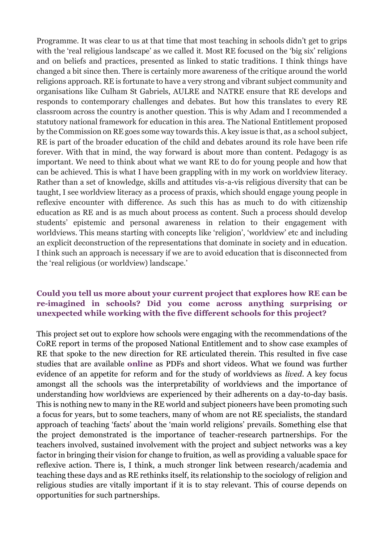Programme. It was clear to us at that time that most teaching in schools didn't get to grips with the 'real religious landscape' as we called it. Most RE focused on the 'big six' religions and on beliefs and practices, presented as linked to static traditions. I think things have changed a bit since then. There is certainly more awareness of the critique around the world religions approach. RE is fortunate to have a very strong and vibrant subject community and organisations like Culham St Gabriels, AULRE and NATRE ensure that RE develops and responds to contemporary challenges and debates. But how this translates to every RE classroom across the country is another question. This is why Adam and I recommended a statutory national framework for education in this area. The National Entitlement proposed by the Commission on RE goes some way towards this. A key issue is that, as a school subject, RE is part of the broader education of the child and debates around its role have been rife forever. With that in mind, the way forward is about more than content. Pedagogy is as important. We need to think about what we want RE to do for young people and how that can be achieved. This is what I have been grappling with in my work on worldview literacy. Rather than a set of knowledge, skills and attitudes vis-a-vis religious diversity that can be taught, I see worldview literacy as a process of praxis, which should engage young people in reflexive encounter with difference. As such this has as much to do with citizenship education as RE and is as much about process as content. Such a process should develop students' epistemic and personal awareness in relation to their engagement with worldviews. This means starting with concepts like 'religion', 'worldview' etc and including an explicit deconstruction of the representations that dominate in society and in education. I think such an approach is necessary if we are to avoid education that is disconnected from the 'real religious (or worldview) landscape.'

#### **Could you tell us more about your current project that explores how RE can be re-imagined in schools? Did you come across anything surprising or unexpected while working with the five different schools for this project?**

This project set out to explore how schools were engaging with the recommendations of the CoRE report in terms of the proposed National Entitlement and to show case examples of RE that spoke to the new direction for RE articulated therein. This resulted in five case studies that are available **[online](https://www.gold.ac.uk/faithsunit/current-projects/reforreal/case-studies)** as PDFs and short videos. What we found was further evidence of an appetite for reform and for the study of worldviews as *lived*. A key focus amongst all the schools was the interpretability of worldviews and the importance of understanding how worldviews are experienced by their adherents on a day-to-day basis. This is nothing new to many in the RE world and subject pioneers have been promoting such a focus for years, but to some teachers, many of whom are not RE specialists, the standard approach of teaching 'facts' about the 'main world religions' prevails. Something else that the project demonstrated is the importance of teacher-research partnerships. For the teachers involved, sustained involvement with the project and subject networks was a key factor in bringing their vision for change to fruition, as well as providing a valuable space for reflexive action. There is, I think, a much stronger link between research/academia and teaching these days and as RE rethinks itself, its relationship to the sociology of religion and religious studies are vitally important if it is to stay relevant. This of course depends on opportunities for such partnerships.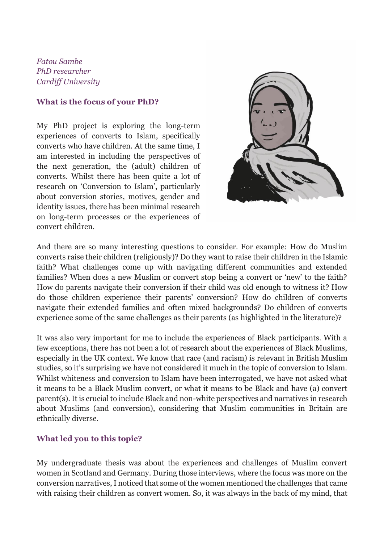*Fatou Sambe PhD researcher Cardiff University*

#### **What is the focus of your PhD?**

My PhD project is exploring the long-term experiences of converts to Islam, specifically converts who have children. At the same time, I am interested in including the perspectives of the next generation, the (adult) children of converts. Whilst there has been quite a lot of research on 'Conversion to Islam', particularly about conversion stories, motives, gender and identity issues, there has been minimal research on long-term processes or the experiences of convert children.



And there are so many interesting questions to consider. For example: How do Muslim converts raise their children (religiously)? Do they want to raise their children in the Islamic faith? What challenges come up with navigating different communities and extended families? When does a new Muslim or convert stop being a convert or 'new' to the faith? How do parents navigate their conversion if their child was old enough to witness it? How do those children experience their parents' conversion? How do children of converts navigate their extended families and often mixed backgrounds? Do children of converts experience some of the same challenges as their parents (as highlighted in the literature)?

It was also very important for me to include the experiences of Black participants. With a few exceptions, there has not been a lot of research about the experiences of Black Muslims, especially in the UK context. We know that race (and racism) is relevant in British Muslim studies, so it's surprising we have not considered it much in the topic of conversion to Islam. Whilst whiteness and conversion to Islam have been interrogated, we have not asked what it means to be a Black Muslim convert, or what it means to be Black and have (a) convert parent(s). It is crucial to include Black and non-white perspectives and narratives in research about Muslims (and conversion), considering that Muslim communities in Britain are ethnically diverse.

#### **What led you to this topic?**

My undergraduate thesis was about the experiences and challenges of Muslim convert women in Scotland and Germany. During those interviews, where the focus was more on the conversion narratives, I noticed that some of the women mentioned the challenges that came with raising their children as convert women. So, it was always in the back of my mind, that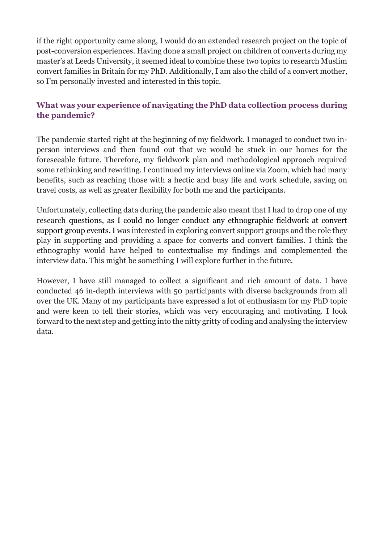if the right opportunity came along, I would do an extended research project on the topic of post-conversion experiences. Having done a small project on children of converts during my master's at Leeds University, it seemed ideal to combine these two topics to research Muslim convert families in Britain for my PhD. Additionally, I am also the child of a convert mother, so I'm personally invested and interested in this topic.

#### **What was your experience of navigating the PhD data collection process during the pandemic?**

The pandemic started right at the beginning of my fieldwork. I managed to conduct two inperson interviews and then found out that we would be stuck in our homes for the foreseeable future. Therefore, my fieldwork plan and methodological approach required some rethinking and rewriting. I continued my interviews online via Zoom, which had many benefits, such as reaching those with a hectic and busy life and work schedule, saving on travel costs, as well as greater flexibility for both me and the participants.

Unfortunately, collecting data during the pandemic also meant that I had to drop one of my research questions, as I could no longer conduct any ethnographic fieldwork at convert support group events. I was interested in exploring convert support groups and the role they play in supporting and providing a space for converts and convert families. I think the ethnography would have helped to contextualise my findings and complemented the interview data. This might be something I will explore further in the future.

However, I have still managed to collect a significant and rich amount of data. I have conducted 46 in-depth interviews with 50 participants with diverse backgrounds from all over the UK. Many of my participants have expressed a lot of enthusiasm for my PhD topic and were keen to tell their stories, which was very encouraging and motivating. I look forward to the next step and getting into the nitty gritty of coding and analysing the interview data.